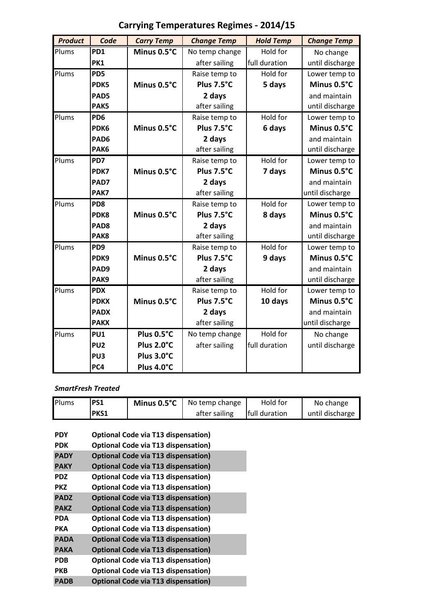| <b>Product</b> | Code             | <b>Carry Temp</b> | <b>Change Temp</b> | <b>Hold Temp</b> | <b>Change Temp</b> |
|----------------|------------------|-------------------|--------------------|------------------|--------------------|
| Plums          | PD1              | Minus 0.5°C       | No temp change     | Hold for         | No change          |
|                | PK1              |                   | after sailing      | full duration    | until discharge    |
| Plums          | PD <sub>5</sub>  |                   | Raise temp to      | Hold for         | Lower temp to      |
|                | PDK5             | Minus 0.5°C       | Plus 7.5°C         | 5 days           | Minus 0.5°C        |
|                | PAD5             |                   | 2 days             |                  | and maintain       |
|                | PAK5             |                   | after sailing      |                  | until discharge    |
| Plums          | PD <sub>6</sub>  |                   | Raise temp to      | Hold for         | Lower temp to      |
|                | PDK6             | Minus 0.5°C       | Plus 7.5°C         | 6 days           | Minus 0.5°C        |
|                | PAD <sub>6</sub> |                   | 2 days             |                  | and maintain       |
|                | PAK6             |                   | after sailing      |                  | until discharge    |
| Plums          | PD7              |                   | Raise temp to      | Hold for         | Lower temp to      |
|                | PDK7             | Minus 0.5°C       | Plus 7.5°C         | 7 days           | Minus 0.5°C        |
|                | PAD7             |                   | 2 days             |                  | and maintain       |
|                | PAK7             |                   | after sailing      |                  | until discharge    |
| Plums          | PD <sub>8</sub>  |                   | Raise temp to      | Hold for         | Lower temp to      |
|                | PDK8             | Minus 0.5°C       | Plus 7.5°C         | 8 days           | Minus 0.5°C        |
|                | PAD <sub>8</sub> |                   | 2 days             |                  | and maintain       |
|                | PAK8             |                   | after sailing      |                  | until discharge    |
| Plums          | PD <sub>9</sub>  |                   | Raise temp to      | Hold for         | Lower temp to      |
|                | PDK9             | Minus 0.5°C       | Plus 7.5°C         | 9 days           | Minus 0.5°C        |
|                | PAD9             |                   | 2 days             |                  | and maintain       |
|                | PAK9             |                   | after sailing      |                  | until discharge    |
| Plums          | <b>PDX</b>       |                   | Raise temp to      | Hold for         | Lower temp to      |
|                | <b>PDKX</b>      | Minus 0.5°C       | Plus 7.5°C         | 10 days          | Minus 0.5°C        |
|                | <b>PADX</b>      |                   | 2 days             |                  | and maintain       |
|                | <b>PAKX</b>      |                   | after sailing      |                  | until discharge    |
| Plums          | <b>PU1</b>       | Plus 0.5°C        | No temp change     | Hold for         | No change          |
|                | PU <sub>2</sub>  | Plus 2.0°C        | after sailing      | full duration    | until discharge    |
|                | PU <sub>3</sub>  | Plus 3.0°C        |                    |                  |                    |
|                | PC4              | Plus 4.0°C        |                    |                  |                    |

# **Carrying Temperatures Regimes - 2014/15**

### *SmartFresh Treated*

| Plums                    | <b>PS1</b> | Minus $0.5^{\circ}$ C                                                                    | No temp change | Hold for      | No change       |  |  |
|--------------------------|------------|------------------------------------------------------------------------------------------|----------------|---------------|-----------------|--|--|
|                          | PKS1       |                                                                                          | after sailing  | full duration | until discharge |  |  |
| <b>PDY</b><br><b>PDK</b> |            | <b>Optional Code via T13 dispensation)</b><br><b>Optional Code via T13 dispensation)</b> |                |               |                 |  |  |
| <b>PADY</b>              |            | <b>Optional Code via T13 dispensation)</b>                                               |                |               |                 |  |  |
| <b>PAKY</b>              |            | <b>Optional Code via T13 dispensation)</b>                                               |                |               |                 |  |  |
| <b>PDZ</b>               |            | <b>Optional Code via T13 dispensation)</b>                                               |                |               |                 |  |  |
| <b>PKZ</b>               |            | <b>Optional Code via T13 dispensation)</b>                                               |                |               |                 |  |  |
| <b>PADZ</b>              |            | <b>Optional Code via T13 dispensation)</b>                                               |                |               |                 |  |  |
| <b>PAKZ</b>              |            | <b>Optional Code via T13 dispensation)</b>                                               |                |               |                 |  |  |

| PARZ        | Optional Code via 113 dispensation)        |
|-------------|--------------------------------------------|
| PDA         | <b>Optional Code via T13 dispensation)</b> |
| РКА         | <b>Optional Code via T13 dispensation)</b> |
| <b>PADA</b> | <b>Optional Code via T13 dispensation)</b> |
| <b>PAKA</b> | <b>Optional Code via T13 dispensation)</b> |
| <b>PDB</b>  | <b>Optional Code via T13 dispensation)</b> |
| <b>PKB</b>  | <b>Optional Code via T13 dispensation)</b> |
| <b>PADB</b> | <b>Optional Code via T13 dispensation)</b> |